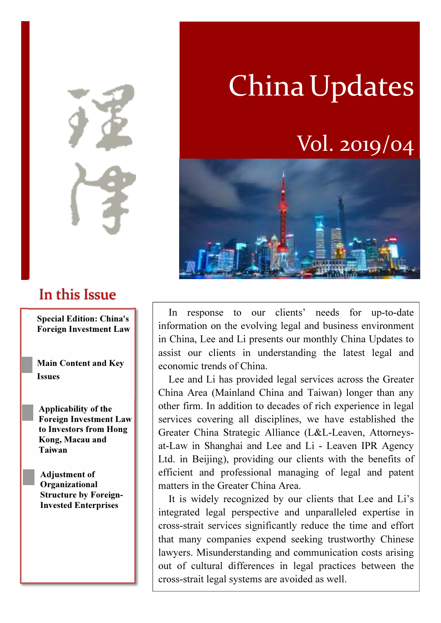In this Issue

Special Edition: China's Foreign Investment Law

Main Content and Key Issues

Applicability of the Foreign Investment Law to Investors from Hong Kong, Macau and Taiwan

Adjustment of Organizational Structure by Foreign-Invested Enterprises

# **China Updates**

## Vol. 2019/04



In response to our clients' needs for up-to-date information on the evolving legal and business environment in China, Lee and Li presents our monthly China Updates to assist our clients in understanding the latest legal and economic trends of China.

Lee and Li has provided legal services across the Greater China Area (Mainland China and Taiwan) longer than any other firm. In addition to decades of rich experience in legal services covering all disciplines, we have established the Greater China Strategic Alliance (L&L-Leaven, Attorneysat-Law in Shanghai and Lee and Li - Leaven IPR Agency Ltd. in Beijing), providing our clients with the benefits of efficient and professional managing of legal and patent matters in the Greater China Area.

It is widely recognized by our clients that Lee and Li's integrated legal perspective and unparalleled expertise in cross-strait services significantly reduce the time and effort that many companies expend seeking trustworthy Chinese lawyers. Misunderstanding and communication costs arising out of cultural differences in legal practices between the cross-strait legal systems are avoided as well.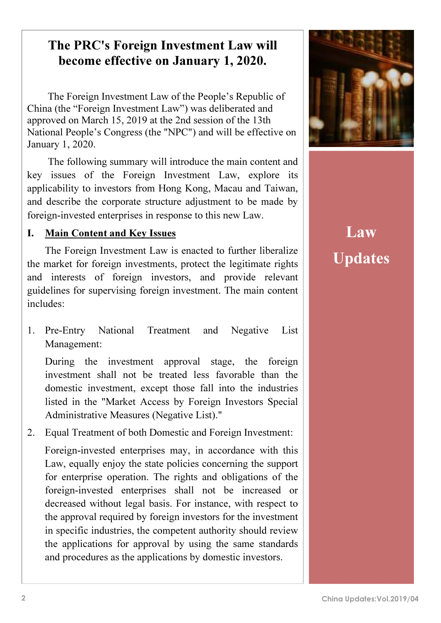### The PRC's Foreign Investment Law will become effective on January 1, 2020.

The Foreign Investment Law of the People's Republic of China (the "Foreign Investment Law") was deliberated and approved on March 15, 2019 at the 2nd session of the 13th National People's Congress (the "NPC") and will be effective on January 1, 2020.

The following summary will introduce the main content and key issues of the Foreign Investment Law, explore its applicability to investors from Hong Kong, Macau and Taiwan, and describe the corporate structure adjustment to be made by foreign-invested enterprises in response to this new Law.

#### I. Main Content and Key Issues

The Foreign Investment Law is enacted to further liberalize the market for foreign investments, protect the legitimate rights and interests of foreign investors, and provide relevant guidelines for supervising foreign investment. The main content includes:

1. Pre-Entry National Treatment and Negative List Management:

During the investment approval stage, the foreign investment shall not be treated less favorable than the domestic investment, except those fall into the industries listed in the "Market Access by Foreign Investors Special Administrative Measures (Negative List)."

2. Equal Treatment of both Domestic and Foreign Investment:

Foreign-invested enterprises may, in accordance with this Law, equally enjoy the state policies concerning the support for enterprise operation. The rights and obligations of the foreign-invested enterprises shall not be increased or decreased without legal basis. For instance, with respect to the approval required by foreign investors for the investment in specific industries, the competent authority should review the applications for approval by using the same standards and procedures as the applications by domestic investors.



Law Updates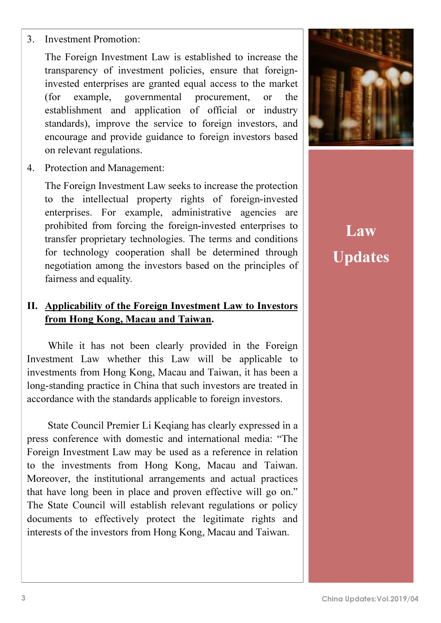The Foreign Investment Law is established to increase the transparency of investment policies, ensure that foreigninvested enterprises are granted equal access to the market (for example, governmental procurement, or the establishment and application of official or industry standards), improve the service to foreign investors, and encourage and provide guidance to foreign investors based on relevant regulations.

4. Protection and Management:

The Foreign Investment Law seeks to increase the protection to the intellectual property rights of foreign-invested enterprises. For example, administrative agencies are prohibited from forcing the foreign-invested enterprises to transfer proprietary technologies. The terms and conditions for technology cooperation shall be determined through negotiation among the investors based on the principles of fairness and equality.

#### II. Applicability of the Foreign Investment Law to Investors from Hong Kong, Macau and Taiwan.

While it has not been clearly provided in the Foreign Investment Law whether this Law will be applicable to investments from Hong Kong, Macau and Taiwan, it has been a long-standing practice in China that such investors are treated in accordance with the standards applicable to foreign investors.

State Council Premier Li Keqiang has clearly expressed in a press conference with domestic and international media: "The Foreign Investment Law may be used as a reference in relation to the investments from Hong Kong, Macau and Taiwan. Moreover, the institutional arrangements and actual practices that have long been in place and proven effective will go on." The State Council will establish relevant regulations or policy documents to effectively protect the legitimate rights and interests of the investors from Hong Kong, Macau and Taiwan.



Law Updates